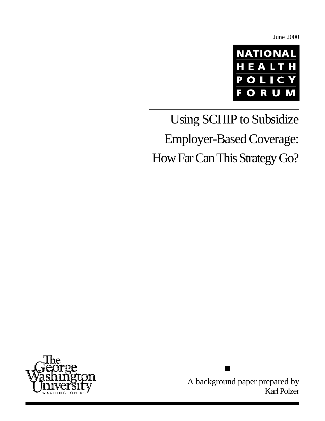June 2000



# Using SCHIP to Subsidize Employer-Based Coverage:

How Far Can This Strategy Go?



A background paper prepared by Karl Polzer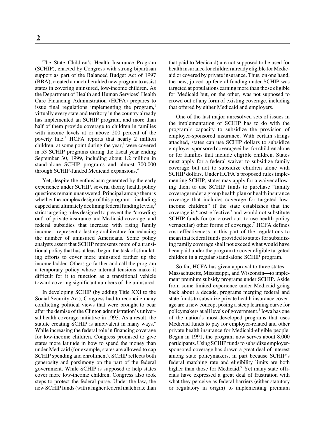The State Children's Health Insurance Program (SCHIP), enacted by Congress with strong bipartisan support as part of the Balanced Budget Act of 1997 (BBA), created a much-heralded new program to assist states in covering uninsured, low-income children. As the Department of Health and Human Services' Health Care Financing Administration (HCFA) prepares to issue final regulations implementing the program, $\frac{1}{2}$ virtually every state and territory in the country already has implemented an SCHIP program, and more than half of them provide coverage to children in families with income levels at or above 200 percent of the poverty line.<sup>2</sup> HCFA reports that nearly 2 million children, at some point during the year,<sup>3</sup> were covered in 53 SCHIP programs during the fiscal year ending September 30, 1999, including about 1.2 million in stand-alone SCHIP programs and almost 700,000 through SCHIP-funded Medicaid expansions.4

Yet, despite the enthusiasm generated by the early experience under SCHIP, several thorny health policy questions remain unanswered. Principal among them is whether the complex design of this program—including capped and ultimately declining federal funding levels,<sup>5</sup> strict targeting rules designed to prevent the "crowding out" of private insurance and Medicaid coverage, and federal subsidies that increase with rising family income—represent a lasting architecture for reducing the number of uninsured Americans. Some policy analysts assert that SCHIP represents more of a transitional policy that has at least begun the task of stimulating efforts to cover more uninsured farther up the income ladder. Others go farther and call the program a temporary policy whose internal tensions make it difficult for it to function as a transitional vehicle toward covering significant numbers of the uninsured.

In developing SCHIP (by adding Title XXI to the Social Security Act), Congress had to reconcile many conflicting political views that were brought to bear after the demise of the Clinton administration's universal health coverage initiative in 1993. As a result, the statute creating SCHIP is ambivalent in many ways.<sup>6</sup> While increasing the federal role in financing coverage for low-income children, Congress promised to give states more latitude in how to spend the money than under Medicaid (for example, states are allowed to cap SCHIP spending and enrollment). SCHIP reflects both generosity and parsimony on the part of the federal government. While SCHIP is supposed to help states cover more low-income children, Congress also took steps to protect the federal purse. Under the law, the new SCHIP funds (with a higher federal match rate than that paid to Medicaid) are not supposed to be used for health insurance for children already eligible for Medicaid or covered by private insurance. Thus, on one hand, the new, juiced-up federal funding under SCHIP was targeted at populations earning more than those eligible for Medicaid but, on the other, was not supposed to crowd out of any form of existing coverage, including that offered by either Medicaid and employers.

One of the last major unresolved sets of issues in the implementation of SCHIP has to do with the program's capacity to subsidize the provision of employer-sponsored insurance. With certain strings attached, states can use SCHIP dollars to subsidize employer-sponsored coverage either for children alone or for families that include eligible children. States must apply for a federal waiver to subsidize family coverage but not to subsidize children alone with SCHIP dollars. Under HCFA's proposed rules implementing SCHIP, states may apply for a waiver allowing them to use SCHIP funds to purchase "family coverage under a group health plan or health insurance coverage that includes coverage for targeted lowincome children" if the state establishes that the coverage is "cost-effective" and would not substitute SCHIP funds for (or crowd out, to use health policy vernacular) other forms of coverage.<sup>7</sup> HCFA defines cost-effectiveness in this part of the regulations to mean that federal funds provided to states for subsidizing family coverage shall not exceed what would have been paid under the program to cover eligible targeted children in a regular stand-alone SCHIP program.

So far, HCFA has given approval to three states— Massachusetts, Mississippi, and Wisconsin—to implement premium subsidy programs under SCHIP. Aside from some limited experience under Medicaid going back about a decade, programs merging federal and state funds to subsidize private health insurance coverage are a new concept posing a steep learning curve for policymakers at all levels of government.<sup>8</sup> Iowa has one of the nation's most-developed programs that uses Medicaid funds to pay for employer-related and other private health insurance for Medicaid-eligible people. Begun in 1991, the program now serves about 8,000 participants. Using SCHIP funds to subsidize employersponsored coverage has drawn a great deal of interest among state policymakers, in part because SCHIP's federal matching rate and eligibility limits are both higher than those for Medicaid.<sup>9</sup> Yet many state officials have expressed a great deal of frustration with what they perceive as federal barriers (either statutory or regulatory in origin) to implementing premium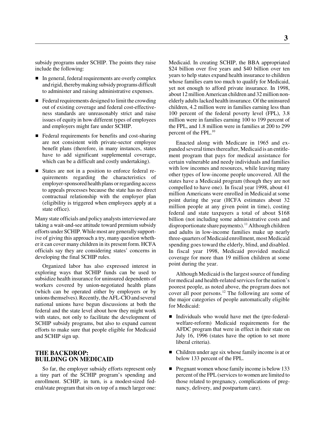subsidy programs under SCHIP. The points they raise include the following:

- In general, federal requirements are overly complex and rigid, thereby making subsidy programs difficult to administer and raising administrative expenses.
- Federal requirements designed to limit the crowding out of existing coverage and federal cost-effectiveness standards are unreasonably strict and raise issues of equity in how different types of employees and employers might fare under SCHIP.
- Federal requirements for benefits and cost-sharing are not consistent with private-sector employee benefit plans (therefore, in many instances, states have to add significant supplemental coverage, which can be a difficult and costly undertaking).
- States are not in a position to enforce federal requirements regarding the characteristics of employer-sponsored health plans or regarding access to appeals processes because the state has no direct contractual relationship with the employer plan (eligibility is triggered when employees apply at a state office).

Many state officials and policy analysts interviewed are taking a wait-and-see attitude toward premium subsidy efforts under SCHIP. While most are generally supportive of giving this approach a try, many question whether it can cover many children in its present form. HCFA officials say they are considering states' concerns in developing the final SCHIP rules.

Organized labor has also expressed interest in exploring ways that SCHIP funds can be used to subsidize health insurance for uninsured dependents of workers covered by union-negotiated health plans (which can be operated either by employers or by unions themselves). Recently, the AFL-CIO and several national unions have begun discussions at both the federal and the state level about how they might work with states, not only to facilitate the development of SCHIP subsidy programs, but also to expand current efforts to make sure that people eligible for Medicaid and SCHIP sign up.

# **THE BACKDROP: BUILDING ON MEDICAID**

So far, the employer subsidy efforts represent only a tiny part of the SCHIP program's spending and enrollment. SCHIP, in turn, is a modest-sized federal/state program that sits on top of a much larger one: Medicaid. In creating SCHIP, the BBA appropriated \$24 billion over five years and \$40 billion over ten years to help states expand health insurance to children whose families earn too much to qualify for Medicaid, yet not enough to afford private insurance. In 1998, about 12 million American children and 32 million nonelderly adults lacked health insurance. Of the uninsured children, 4.2 million were in families earning less than 100 percent of the federal poverty level (FPL), 3.8 million were in families earning 100 to 199 percent of the FPL, and 1.8 million were in families at 200 to 299 percent of the FPL.<sup>10</sup>

Enacted along with Medicare in 1965 and expanded several times thereafter, Medicaid is an entitlement program that pays for medical assistance for certain vulnerable and needy individuals and families with low incomes and resources, while leaving many other types of low-income people uncovered. All the states have a Medicaid program (though they are not compelled to have one). In fiscal year 1998, about 41 million Americans were enrolled in Medicaid at some point during the year (HCFA estimates about 32 million people at any given point in time), costing federal and state taxpayers a total of about \$168 billion (not including some administrative costs and disproportionate share payments).<sup>11</sup> Although children and adults in low-income families make up nearly three-quarters of Medicaid enrollment, most Medicaid spending goes toward the elderly, blind, and disabled. In fiscal year 1998, Medicaid provided medical coverage for more than 19 million children at some point during the year.

Although Medicaid is the largest source of funding for medical and health-related services for the nation's poorest people, as noted above, the program does not cover all poor persons.<sup>12</sup> The following are some of the major categories of people automatically eligible for Medicaid:

- Individuals who would have met the (pre-federalwelfare-reform) Medicaid requirements for the AFDC program that were in effect in their state on July 16, 1996 (states have the option to set more liberal criteria).
- Children under age six whose family income is at or below 133 percent of the FPL.
- Pregnant women whose family income is below 133 percent of the FPL (services to women are limited to those related to pregnancy, complications of pregnancy, delivery, and postpartum care).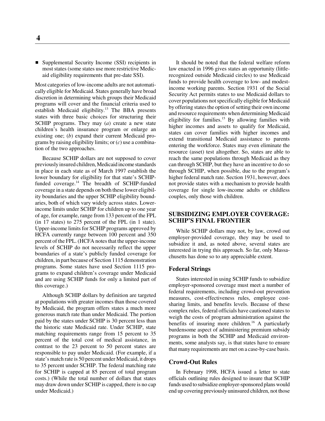■ Supplemental Security Income (SSI) recipients in most states (some states use more restrictive Medicaid eligibility requirements that pre-date SSI).

Most categories of low-income adults are not automatically eligible for Medicaid. States generally have broad discretion in determining which groups their Medicaid programs will cover and the financial criteria used to establish Medicaid eligibility.<sup>13</sup> The BBA presents states with three basic choices for structuring their SCHIP programs. They may (*a*) create a new state children's health insurance program or enlarge an existing one; (*b*) expand their current Medicaid programs by raising eligibility limits; or (*c*) use a combination of the two approaches.

Because SCHIP dollars are not supposed to cover previously insured children, Medicaid income standards in place in each state as of March 1997 establish the lower boundary for eligibility for that state's SCHIPfunded coverage.<sup>14</sup> The breadth of SCHIP-funded coverage in a state depends on both these lower eligibility boundaries and the upper SCHIP eligibility boundaries, both of which vary widely across states. Lowerincome limits under SCHIP for children up to one year of age, for example, range from 133 percent of the FPL (in 17 states) to 275 percent of the FPL (in 1 state). Upper-income limits for SCHIP programs approved by HCFA currently range between 100 percent and 350 percent of the FPL. (HCFA notes that the upper-income levels of SCHIP do not necessarily reflect the upper boundaries of a state's publicly funded coverage for children, in part because of Section 1115 demonstration programs. Some states have used Section 1115 programs to expand children's coverage under Medicaid and are using SCHIP funds for only a limited part of this coverage.)

Although SCHIP dollars by definition are targeted at populations with greater incomes than those covered by Medicaid, the program offers states a much more generous match rate than under Medicaid. The portion paid by the states under SCHIP is 30 percent less than the historic state Medicaid rate. Under SCHIP, state matching requirements range from 15 percent to 35 percent of the total cost of medical assistance, in contrast to the 23 percent to 50 percent states are responsible to pay under Medicaid. (For example, if a state's match rate is 50 percent under Medicaid, it drops to 35 percent under SCHIP. The federal matching rate for SCHIP is capped at 85 percent of total program costs.) (While the total number of dollars that states may draw down under SCHIP is capped, there is no cap under Medicaid.)

It should be noted that the federal welfare reform law enacted in 1996 gives states an opportunity (littlerecognized outside Medicaid circles) to use Medicaid funds to provide health coverage to low- and modestincome working parents. Section 1931 of the Social Security Act permits states to use Medicaid dollars to cover populations not specifically eligible for Medicaid by offering states the option of setting their own income and resource requirements when determining Medicaid eligibility for families.<sup>15</sup> By allowing families with higher incomes and assets to qualify for Medicaid, states can cover families with higher incomes and extend transitional Medicaid assistance to parents entering the workforce. States may even eliminate the resource (asset) test altogether. So, states are able to reach the same populations through Medicaid as they can through SCHIP, but they have an incentive to do so through SCHIP, when possible, due to the program's higher federal match rate. Section 1931, however, does not provide states with a mechanism to provide health coverage for single low-income adults or childless couples, only those with children.

# **SUBSIDIZING EMPLOYER COVERAGE: SCHIP'S FINAL FRONTIER**

While SCHIP dollars may not, by law, crowd out employer-provided coverage, they may be used to subsidize it and, as noted above, several states are interested in trying this approach. So far, only Massachusetts has done so to any appreciable extent.

# **Federal Strings**

States interested in using SCHIP funds to subsidize employer-sponsored coverage must meet a number of federal requirements, including crowd-out prevention measures, cost-effectiveness rules, employee costsharing limits, and benefits levels. Because of these complex rules, federal officials have cautioned states to weigh the costs of program administration against the benefits of insuring more children.<sup>16</sup> A particularly burdensome aspect of administering premium subsidy programs in both the SCHIP and Medicaid environments, some analysts say, is that states have to ensure that many requirements are met on a case-by-case basis.

#### **Crowd-Out Rules**

In February 1998, HCFA issued a letter to state officials outlining rules designed to insure that SCHIP funds used to subsidize employer-sponsored plans would end up covering previously uninsured children, not those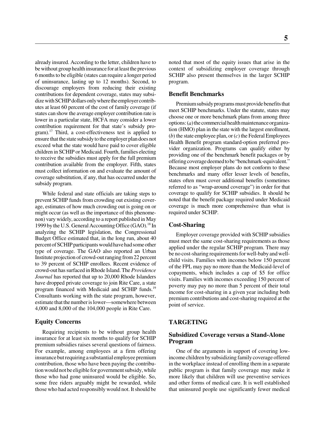already insured. According to the letter, children have to be without group health insurance for at least the previous 6 months to be eligible (states can require a longer period of uninsurance, lasting up to 12 months). Second, to discourage employers from reducing their existing contributions for dependent coverage, states may subsidize with SCHIP dollars only where the employer contributes at least 60 percent of the cost of family coverage (if states can show the average employer contribution rate is lower in a particular state, HCFA may consider a lower contribution requirement for that state's subsidy program).17 Third, a cost-effectiveness test is applied to ensure that the state subsidy to the employer plan does not exceed what the state would have paid to cover eligible children in SCHIP or Medicaid. Fourth, families electing to receive the subsidies must apply for the full premium contribution available from the employer. Fifth, states must collect information on and evaluate the amount of coverage substitution, if any, that has occurred under the subsidy program.

While federal and state officials are taking steps to prevent SCHIP funds from crowding out existing coverage, estimates of how much crowding out is going on or might occur (as well as the importance of this phenomenon) vary widely, according to a report published in May 1999 by the U.S. General Accounting Office (GAO).<sup>18</sup> In analyzing the SCHIP legislation, the Congressional Budget Office estimated that, in the long run, about 40 percent of SCHIP participants would have had some other type of coverage. The GAO also reported an Urban Institute projection of crowd-out ranging from 22 percent to 39 percent of SCHIP enrollees. Recent evidence of crowd-out has surfaced in Rhode Island. The *Providence Journal* has reported that up to 20,000 Rhode Islanders have dropped private coverage to join Rite Care, a state program financed with Medicaid and SCHIP funds.<sup>19</sup> Consultants working with the state program, however, estimate that the number is lower—somewhere between 4,000 and 8,000 of the 104,000 people in Rite Care.

## **Equity Concerns**

Requiring recipients to be without group health insurance for at least six months to qualify for SCHIP premium subsidies raises several questions of fairness. For example, among employees at a firm offering insurance but requiring a substantial employee premium contribution, those who have been paying the contribution would not be eligible for government subsidy, while those who had gone uninsured would be eligible. So, some free riders arguably might be rewarded, while those who had acted responsibly would not. It should be

**5**

noted that most of the equity issues that arise in the context of subsidizing employer coverage through SCHIP also present themselves in the larger SCHIP program.

# **Benefit Benchmarks**

Premium subsidy programs must provide benefits that meet SCHIP benchmarks. Under the statute, states may choose one or more benchmark plans from among three options: (*a*) the commercial health maintenance organization (HMO) plan in the state with the largest enrollment, (*b*) the state employee plan, or (*c*) the Federal Employees Health Benefit program standard-option preferred provider organization. Programs can qualify either by providing one of the benchmark benefit packages or by offering coverage deemed to be "benchmark-equivalent." Because most employer plans do not conform to these benchmarks and many offer lesser levels of benefits, states often must cover additional benefits (sometimes referred to as "wrap-around coverage") in order for that coverage to qualify for SCHIP subsidies. It should be noted that the benefit package required under Medicaid coverage is much more comprehensive than what is required under SCHIP.

# **Cost-Sharing**

Employer coverage provided with SCHIP subsidies must meet the same cost-sharing requirements as those applied under the regular SCHIP program. There may be no cost-sharing requirements for well-baby and wellchild visits. Families with incomes below 150 percent of the FPL may pay no more than the Medicaid-level of copayments, which includes a cap of \$5 for office visits. Families with incomes exceeding 150 percent of poverty may pay no more than 5 percent of their total income for cost-sharing in a given year including both premium contributions and cost-sharing required at the point of service.

# **TARGETING**

# **Subsidized Coverage versus a Stand-Alone Program**

One of the arguments in support of covering lowincome children by subsidizing family coverage offered in the workplace instead of enrolling them in a separate public program is that family coverage may make it more likely that children will use preventive services and other forms of medical care. It is well established that uninsured people use significantly fewer medical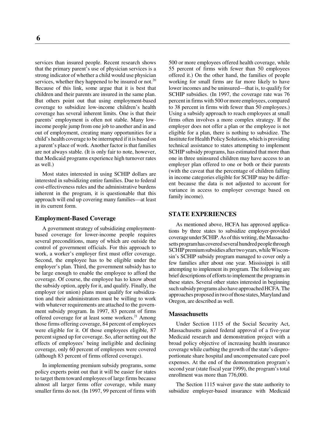services than insured people. Recent research shows that the primary parent's use of physician services is a strong indicator of whether a child would use physician services, whether they happened to be insured or not.<sup>20</sup> Because of this link, some argue that it is best that children and their parents are insured in the same plan. But others point out that using employment-based coverage to subsidize low-income children's health coverage has several inherent limits. One is that their parents' employment is often not stable. Many lowincome people jump from one job to another and in and out of employment, creating many opportunities for a child's health coverage to be interrupted if it is based on a parent's place of work. Another factor is that families are not always stable. (It is only fair to note, however, that Medicaid programs experience high turnover rates as well.)

Most states interested in using SCHIP dollars are interested in subsidizing entire families. Due to federal cost-effectiveness rules and the administrative burdens inherent in the program, it is questionable that this approach will end up covering many families—at least in its current form.

#### **Employment-Based Coverage**

A government strategy of subsidizing employmentbased coverage for lower-income people requires several preconditions, many of which are outside the control of government officials. For this approach to work, a worker's employer first must offer coverage. Second, the employee has to be eligible under the employer's plan. Third, the government subsidy has to be large enough to enable the employee to afford the coverage. Of course, the employee has to know about the subsidy option, apply for it, and qualify. Finally, the employer (or union) plans must qualify for subsidization and their administrators must be willing to work with whatever requirements are attached to the government subsidy program. In 1997, 83 percent of firms offered coverage for at least some workers. $21$  Among those firms offering coverage, 84 percent of employees were eligible for it. Of those employees eligible, 87 percent signed up for coverage. So, after netting out the effects of employees' being ineligible and declining coverage, only 60 percent of employees were covered (although 83 percent of firms offered coverage).

In implementing premium subsidy programs, some policy experts point out that it will be easier for states to target them toward employees of large firms because almost all larger firms offer coverage, while many smaller firms do not. (In 1997, 99 percent of firms with

500 or more employees offered health coverage, while 55 percent of firms with fewer than 50 employees offered it.) On the other hand, the families of people working for small firms are far more likely to have lower incomes and be uninsured—that is, to qualify for SCHIP subsidies. (In 1997, the coverage rate was 76 percent in firms with 500 or more employees, compared to 38 percent in firms with fewer than 50 employees.) Using a subsidy approach to reach employees at small firms often involves a more complex strategy. If the employer does not offer a plan or the employee is not eligible for a plan, there is nothing to subsidize. The Institute for Health Policy Solutions, which is providing technical assistance to states attempting to implement SCHIP subsidy programs, has estimated that more than one in three uninsured children may have access to an employer plan offered to one or both or their parents (with the caveat that the percentage of children falling in income categories eligible for SCHIP may be different because the data is not adjusted to account for variance in access to employer coverage based on family income).

# **STATE EXPERIENCES**

As mentioned above, HCFA has approved applications by three states to subsidize employer-provided coverage under SCHIP. As of this writing, the Massachusetts program has covered several hundred people through SCHIP premium subsidies after two years, while Wisconsin's SCHIP subsidy program managed to cover only a few families after about one year. Mississippi is still attempting to implement its program. The following are brief descriptions of efforts to implement the programs in these states. Several other states interested in beginning such subsidy programs also have approached HCFA. The approaches proposed in two of those states, Maryland and Oregon, are described as well.

#### **Massachusetts**

Under Section 1115 of the Social Security Act, Massachusetts gained federal approval of a five-year Medicaid research and demonstration project with a broad policy objective of increasing health insurance coverage while curbing the growth of the state's disproportionate share hospital and uncompensated care pool expenses. At the end of the demonstration program's second year (state fiscal year 1999), the program's total enrollment was more than 776,000.

The Section 1115 waiver gave the state authority to subsidize employer-based insurance with Medicaid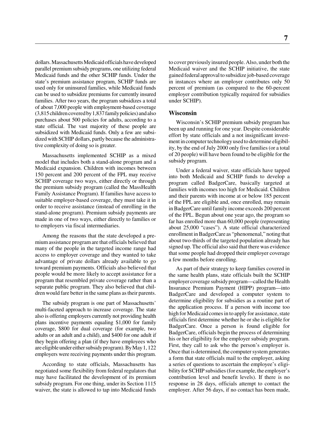dollars. Massachusetts Medicaid officials have developed parallel premium subsidy programs, one utilizing federal Medicaid funds and the other SCHIP funds. Under the state's premium assistance program, SCHIP funds are used only for uninsured families, while Medicaid funds can be used to subsidize premiums for currently insured families. After two years, the program subsidizes a total of about 7,000 people with employment-based coverage (3,815 children covered by 1,837 family policies) and also purchases about 500 policies for adults, according to a state official. The vast majority of these people are subsidized with Medicaid funds. Only a few are subsidized with SCHIP dollars, partly because the administrative complexity of doing so is greater.

Massachusetts implemented SCHIP as a mixed model that includes both a stand-alone program and a Medicaid expansion. Children with incomes between 150 percent and 200 percent of the FPL may receive SCHIP coverage two ways, either directly or through the premium subsidy program (called the MassHealth Family Assistance Program). If families have access to suitable employer-based coverage, they must take it in order to receive assistance (instead of enrolling in the stand-alone program). Premium subsidy payments are made in one of two ways, either directly to families or to employers via fiscal intermediaries.

Among the reasons that the state developed a premium assistance program are that officials believed that many of the people in the targeted income range had access to employer coverage and they wanted to take advantage of private dollars already available to go toward premium payments. Officials also believed that people would be more likely to accept assistance for a program that resembled private coverage rather than a separate public program. They also believed that children would fare better in the same plans as their parents.

The subsidy program is one part of Massachusetts' multi-faceted approach to increase coverage. The state also is offering employers currently not providing health plans incentive payments equaling \$1,000 for family coverage, \$800 for dual coverage (for example, two adults or an adult and a child), and \$400 for one adult if they begin offering a plan (if they have employees who are eligible under either subsidy program). By May 1, 122 employers were receiving payments under this program.

According to state officials, Massachusetts has negotiated some flexibility from federal regulators that may have facilitated the development of its premium subsidy program. For one thing, under its Section 1115 waiver, the state is allowed to tap into Medicaid funds

to cover previously insured people. Also, under both the Medicaid waiver and the SCHIP initiative, the state gained federal approval to subsidize job-based coverage in instances where an employer contributes only 50 percent of premium (as compared to the 60-percent employer contribution typically required for subsidies under SCHIP).

#### **Wisconsin**

Wisconsin's SCHIP premium subsidy program has been up and running for one year. Despite considerable effort by state officials and a not insignificant investment in computer technology used to determine eligibility, by the end of July 2000 only five families (or a total of 20 people) will have been found to be eligible for the subsidy program.

Under a federal waiver, state officials have tapped into both Medicaid and SCHIP funds to develop a program called BadgerCare, basically targeted at families with incomes too high for Medicaid. Children and their parents with income at or below 185 percent of the FPL are eligible and, once enrolled, may remain in BadgerCare until family income exceeds 200 percent of the FPL. Begun about one year ago, the program so far has enrolled more than 60,000 people (representing about 25,000 "cases"). A state official characterized enrollment in BadgerCare as "phenomenal," noting that about two-thirds of the targeted population already has signed up. The official also said that there was evidence that some people had dropped their employer coverage a few months before enrolling.

As part of their strategy to keep families covered in the same health plans, state officials built the SCHIP employer coverage subsidy program—called the Health Insurance Premium Payment (HIPP) program—into BadgerCare and developed a computer system to determine eligibility for subsidies as a routine part of the application process. If a person with income too high for Medicaid comes in to apply for assistance, state officials first determine whether he or she is eligible for BadgerCare. Once a person is found eligible for BadgerCare, officials begin the process of determining his or her eligibility for the employer subsidy program. First, they call to ask who the person's employer is. Once that is determined, the computer system generates a form that state officials mail to the employer, asking a series of questions to ascertain the employee's eligibility for SCHIP subsidies (for example, the employer's contribution level and benefit levels). If there is no response in 28 days, officials attempt to contact the employer. After 56 days, if no contact has been made,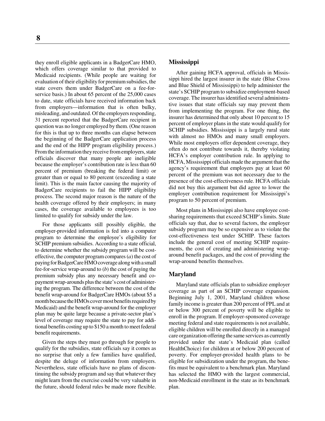they enroll eligible applicants in a BadgerCare HMO, which offers coverage similar to that provided to Medicaid recipients. (While people are waiting for evaluation of their eligibility for premium subsidies, the state covers them under BadgerCare on a fee-forservice basis.) In about 65 percent of the 25,000 cases to date, state officials have received information back from employers—information that is often bulky, misleading, and outdated. Of the employers responding, 31 percent reported that the BadgerCare recipient in question was no longer employed by them. (One reason for this is that up to three months can elapse between the beginning of the BadgerCare application process and the end of the HIPP program eligibility process.) From the information they receive from employers, state officials discover that many people are ineligible because the employer's contribution rate is less than 60 percent of premium (breaking the federal limit) or greater than or equal to 80 percent (exceeding a state limit). This is the main factor causing the majority of BadgerCare recipients to fail the HIPP eligibility process. The second major reason is the nature of the health coverage offered by their employers; in many cases, the coverage available to employees is too limited to qualify for subsidy under the law.

For those applicants still possibly eligible, the employer-provided information is fed into a computer program to determine the employee's eligibility for SCHIP premium subsidies. According to a state official, to determine whether the subsidy program will be costeffective, the computer program compares (*a*) the cost of paying for BadgerCare HMO coverage along with a small fee-for-service wrap-around to (*b*) the cost of paying the premium subsidy plus any necessary benefit and copayment wrap-arounds plus the state's cost of administering the program. The difference between the cost of the benefit wrap-around for BadgerCare HMOs (about \$5 a month because the HMOs cover most benefits required by Medicaid) and the benefit wrap-around for the employer plan may be quite large because a private-sector plan's level of coverage may require the state to pay for additional benefits costing up to \$150 a month to meet federal benefit requirements.

Given the steps they must go through for people to qualify for the subsidies, state officials say it comes as no surprise that only a few families have qualified, despite the deluge of information from employers. Nevertheless, state officials have no plans of discontinuing the subsidy program and say that whatever they might learn from the exercise could be very valuable in the future, should federal rules be made more flexible.

# **Mississippi**

After gaining HCFA approval, officials in Mississippi hired the largest insurer in the state (Blue Cross and Blue Shield of Mississippi) to help administer the state's SCHIP program to subsidize employment-based coverage. The insurer has identified several administrative issues that state officials say may prevent them from implementing the program. For one thing, the insurer has determined that only about 10 percent to 15 percent of employer plans in the state would qualify for SCHIP subsidies. Mississippi is a largely rural state with almost no HMOs and many small employers. While most employers offer dependent coverage, they often do not contribute towards it, thereby violating HCFA's employer contribution rule. In applying to HCFA, Mississippi officials made the argument that the agency's requirement that employers pay at least 60 percent of the premium was not necessary due to the presence of the cost-effectiveness rule. HCFA officials did not buy this argument but did agree to lower the employer contribution requirement for Mississippi's program to 50 percent of premium.

Most plans in Mississippi also have employee costsharing requirements that exceed SCHIP's limits. State officials say that, due to several factors, the employer subsidy program may be so expensive as to violate the cost-effectiveness test under SCHIP. These factors include the general cost of meeting SCHIP requirements, the cost of creating and administering wraparound benefit packages, and the cost of providing the wrap-around benefits themselves.

# **Maryland**

Maryland state officials plan to subsidize employer coverage as part of an SCHIP coverage expansion. Beginning July 1, 2001, Maryland children whose family income is greater than 200 percent of FPL and at or below 300 percent of poverty will be eligible to enroll in the program. If employer-sponsored coverage meeting federal and state requirements is not available, eligible children will be enrolled directly in a managed care organization offering the same services as currently provided under the state's Medicaid plan (called HealthChoice) for children at or below 200 percent of poverty. For employer-provided health plans to be eligible for subsidization under the program, the benefits must be equivalent to a benchmark plan. Maryland has selected the HMO with the largest commercial, non-Medicaid enrollment in the state as its benchmark plan.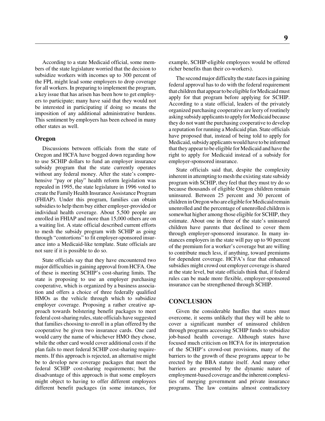According to a state Medicaid official, some members of the state legislature worried that the decision to subsidize workers with incomes up to 300 percent of the FPL might lead some employers to drop coverage for all workers. In preparing to implement the program, a key issue that has arisen has been how to get employers to participate; many have said that they would not be interested in participating if doing so means the imposition of any additional administrative burdens. This sentiment by employers has been echoed in many other states as well.

### **Oregon**

Discussions between officials from the state of Oregon and HCFA have bogged down regarding how to use SCHIP dollars to fund an employer insurance subsidy program that the state currently operates without any federal money. After the state's comprehensive "pay or play" health reform legislation was repealed in 1995, the state legislature in 1996 voted to create the Family Health Insurance Assistance Program (FHIAP). Under this program, families can obtain subsidies to help them buy either employer-provided or individual health coverage. About 5,500 people are enrolled in FHIAP and more than 15,000 others are on a waiting list. A state official described current efforts to mesh the subsidy program with SCHIP as going through "contortions" to fit employer-sponsored insurance into a Medicaid-like template. State officials are not sure if it is possible to do so.

State officials say that they have encountered two major difficulties in gaining approval from HCFA. One of these is meeting SCHIP's cost-sharing limits. The state is proposing to use an employer purchasing cooperative, which is organized by a business association and offers a choice of three federally qualified HMOs as the vehicle through which to subsidize employer coverage. Proposing a rather creative approach towards bolstering benefit packages to meet federal cost-sharing rules, state officials have suggested that families choosing to enroll in a plan offered by the cooperative be given two insurance cards. One card would carry the name of whichever HMO they chose, while the other card would cover additional costs if the plan fails to meet federal SCHIP cost-sharing requirements. If this approach is rejected, an alternative might be to develop new coverage packages that meet the federal SCHIP cost-sharing requirements; but the disadvantage of this approach is that some employers might object to having to offer different employees different benefit packages (in some instances, for example, SCHIP-eligible employees would be offered richer benefits than their co-workers).

The second major difficulty the state faces in gaining federal approval has to do with the federal requirement that children that appear to be eligible for Medicaid must apply for that program before applying for SCHIP. According to a state official, leaders of the privately organized purchasing cooperative are leery of routinely asking subsidy applicants to apply for Medicaid because they do not want the purchasing cooperative to develop a reputation for running a Medicaid plan. State officials have proposed that, instead of being told to apply for Medicaid, subsidy applicants would have to be informed that they appear to be eligible for Medicaid and have the right to apply for Medicaid instead of a subsidy for employer-sponsored insurance.

State officials said that, despite the complexity inherent in attempting to mesh the existing state subsidy program with SCHIP, they feel that they must try do so because thousands of eligible Oregon children remain uninsured. Between 25 percent and 30 percent of children in Oregon who are eligible for Medicaid remain unenrolled and the percentage of unenrolled children is somewhat higher among those eligible for SCHIP, they estimate. About one in three of the state's uninsured children have parents that declined to cover them through employer-sponsored insurance. In many instances employers in the state will pay up to 90 percent of the premium for a worker's coverage but are willing to contribute much less, if anything, toward premiums for dependent coverage. HCFA's fear that enhanced subsidies might crowd out employer coverage is shared at the state level, but state officials think that, if federal rules can be made more flexible, employer-sponsored insurance can be strengthened through SCHIP.

# **CONCLUSION**

Given the considerable hurdles that states must overcome, it seems unlikely that they will be able to cover a significant number of uninsured children through programs accessing SCHIP funds to subsidize job-based health coverage. Although states have focused much criticism on HCFA for its interpretation of the SCHIP's crowd-out provisions, many of the barriers to the growth of these programs appear to be erected by the BBA statute itself. And many other barriers are presented by the dynamic nature of employment-based coverage and the inherent complexities of merging government and private insurance programs. The law contains almost contradictory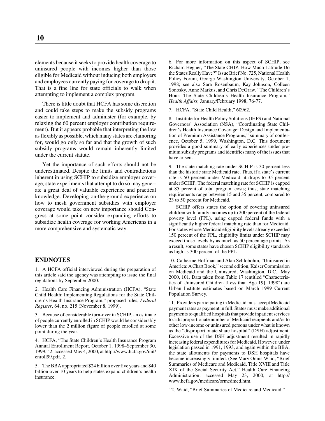elements because it seeks to provide health coverage to uninsured people with incomes higher than those eligible for Medicaid without inducing both employers and employees currently paying for coverage to drop it. That is a fine line for state officials to walk when attempting to implement a complex program.

There is little doubt that HCFA has some discretion and could take steps to make the subsidy programs easier to implement and administer (for example, by relaxing the 60 percent employer contribution requirement). But it appears probable that interpreting the law as flexibly as possible, which many states are clamoring for, would go only so far and that the growth of such subsidy programs would remain inherently limited under the current statute.

Yet the importance of such efforts should not be underestimated. Despite the limits and contradictions inherent in using SCHIP to subsidize employer coverage, state experiments that attempt to do so may generate a great deal of valuable experience and practical knowledge. Developing on-the-ground experience on how to mesh government subsidies with employer coverage would take on new importance should Congress at some point consider expanding efforts to subsidize health coverage for working Americans in a more comprehensive and systematic way.

# **ENDNOTES**

1. A HCFA official interviewed during the preparation of this article said the agency was attempting to issue the final regulations by September 2000.

2. Health Care Financing Administration (HCFA), "State Child Health; Implementing Regulations for the State Children's Health Insurance Program," proposed rules, *Federal Register*, 64, no. 215 (November 8, 1999).

3. Because of considerable turn-over in SCHIP, an estimate of people currently enrolled in SCHIP would be considerably lower than the 2 million figure of people enrolled at some point during the year.

4. HCFA, "The State Children's Health Insurance Program Annual Enrollment Report, October 1, 1998–September 30, 1999," 2: accessed May 4, 2000, at http://www.hcfa.gov/init/ enroll99.pdf, 2.

5. The BBA appropriated \$24 billion over five years and \$40 billion over 10 years to help states expand children's health insurance.

6. For more information on this aspect of SCHIP, see Richard Hegner, "The State CHIP: How Much Latitude Do the States Really Have?" Issue Brief No. 725, National Health Policy Forum, George Washington University, October 1, 1998; see also Sara Rosenbaum, Kay Johnson, Colleen Sonosky, Anne Markus, and Chris DeGraw, "The Children's Hour: The State Children's Health Insurance Program," *Health Affairs,* January/February 1998, 76-77.

7. HCFA, "State Child Health," 60962.

8. Institute for Health Policy Solutions (IHPS) and National Governors' Association (NSA), "Coordinating State Children's Health Insurance Coverage: Design and Implementation of Premium Assistance Programs," summary of conference, October 5, 1999, Washington, D.C. This document provides a good summary of early experiences under premium subsidy programs and identifies many of the issues that have arisen.

9. The state matching rate under SCHIP is 30 percent less than the historic state Medicaid rate. Thus, if a state's current rate is 50 percent under Medicaid, it drops to 35 percent under SCHIP. The federal matching rate for SCHIP is capped at 85 percent of total program costs; thus, state matching requirements range between 15 and 35 percent, compared to 23 to 50 percent for Medicaid.

SCHIP offers states the option of covering uninsured children with family incomes up to 200 percent of the federal poverty level (FPL), using capped federal funds with a significantly higher federal matching rate than for Medicaid. For states whose Medicaid eligibility levels already exceeded 150 percent of the FPL, eligibility limits under SCHIP may exceed those levels by as much as 50 percentage points. As a result, some states have chosen SCHIP eligibility standards as high as 300 percent of the FPL.

10. Catherine Hoffman and Alan Schlobohm, "Uninsured in America: A Chart Book," second edition, Kaiser Commission on Medicaid and the Uninsured, Washington, D.C., May 2000, 101. Data taken from Table 17 (entitled "Characteristics of Uninsured Children [Less than Age 19], 1998") are Urban Institute estimates based on March 1999 Current Population Survey.

11. Providers participating in Medicaid must accept Medicaid payment rates as payment in full. States must make additional payments to qualified hospitals that provide inpatient services to a disproportionate number of Medicaid recipients and/or to other low-income or uninsured persons under what is known as the "disproportionate share hospital" (DSH) adjustment. Excessive use of the DSH adjustment resulted in rapidly increasing federal expenditures for Medicaid. However, under legislation passed in 1991, 1993, and again within the BBA, the state allotments for payments to DSH hospitals have become increasingly limited. (See Mary Onnis Waid, "Brief Summaries of Medicare and Medicaid, Title XVIII and Title XIX of the Social Security Act," Health Care Financing Administration; accessed May 23, 2000, at http:// www.hcfa.gov/medicare/ormedmed.htm.

12. Waid, "Brief Summaries of Medicare and Medicaid."